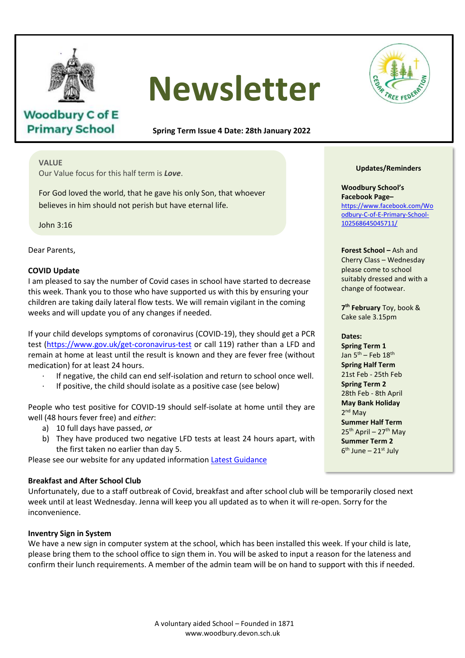

**Woodbury C of E Primary School** 

# **Newsletter**

**Spring Term Issue 4 Date: 28th January 2022**

### **VALUE**

Our Value focus for this half term is *Love*.

For God loved the world, that he gave his only Son, that whoever believes in him should not perish but have eternal life.

John 3:16

Dear Parents,

#### **COVID Update**

I am pleased to say the number of Covid cases in school have started to decrease this week. Thank you to those who have supported us with this by ensuring your children are taking daily lateral flow tests. We will remain vigilant in the coming weeks and will update you of any changes if needed.

If your child develops symptoms of coronavirus (COVID-19), they should get a PCR If your crind develops symptoms or coronavirus (COVID-15), they should get a rick<br>test (https://www.gov.uk/get-coronavirus-test or call 119) rather than a LFD and remain at home at least until the result is known and they are fever free (without medication) for at least 24 hours. medication) for at least 24 hours.

- If negative, the child can end self-isolation and return to school once well.
- · If negative, the child can end self-isolation and return to school<br>· If positive, the child should isolate as a positive case (see below)

People who test positive for COVID-19 should self-isolate at home until they are well (48 hours fever free) and *either*:

- a) 10 full days have passed, *or*
- b) They have produced two negative LFD tests at least 24 hours apart, with the first taken no earlier than day 5.

Please see our website for any updated information [Latest Guidance](https://www.woodbury.devon.sch.uk/web/latest_guidance/508669)

#### **Breakfast and After School Club** *Hebrews 13:16*

Unfortunately, due to a staff outbreak of Covid, breakfast and after school club will be temporarily closed next week until at least Wednesday. Jenna will keep you all updated as to when it will re-open. Sorry for the inconvenience.

#### **Inventry Sign in System**

We have a new sign in computer system at the school, which has been installed this week. If your child is late, please bring them to the school office to sign them in. You will be asked to input a reason for the lateness and confirm their lunch requirements. A member of the admin team will be on hand to support with this if needed.



#### **Updates/Reminders**

**Woodbury School's Facebook Page–** [https://www.facebook.com/Wo](https://www.facebook.com/Woodbury-C-of-E-Primary-School-102568645045711/) [odbury-C-of-E-Primary-School-](https://www.facebook.com/Woodbury-C-of-E-Primary-School-102568645045711/)[102568645045711/](https://www.facebook.com/Woodbury-C-of-E-Primary-School-102568645045711/)

**Forest School –** Ash and Cherry Class – Wednesday please come to school suitably dressed and with a change of footwear.

**7 th February** Toy, book & Cake sale 3.15pm

#### **Dates:**

**Spring Term 1** Jan  $5<sup>th</sup>$  – Feb  $18<sup>th</sup>$ **Spring Half Term** 21st Feb - 25th Feb **Spring Term 2** 28th Feb - 8th April **May Bank Holiday** 2<sup>nd</sup> May **Summer Half Term**  $25<sup>th</sup>$  April – 27<sup>th</sup> May **Summer Term 2** 6<sup>th</sup> June – 21st July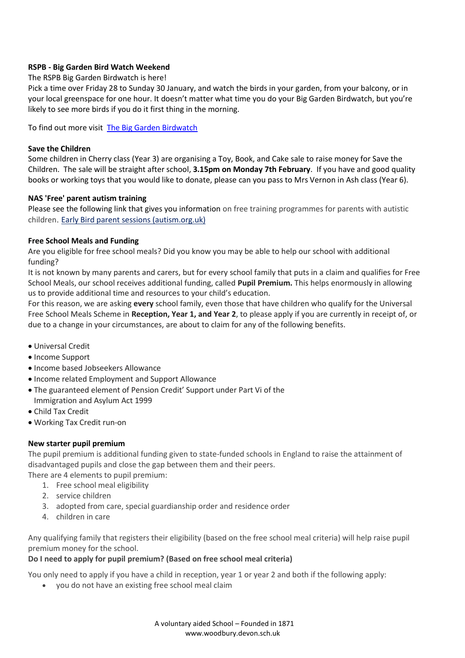## **RSPB - Big Garden Bird Watch Weekend**

## The RSPB Big Garden Birdwatch is here!

Pick a time over Friday 28 to Sunday 30 January, and watch the birds in your garden, from your balcony, or in your local greenspace for one hour. It doesn't matter what time you do your Big Garden Birdwatch, but you're likely to see more birds if you do it first thing in the morning.

To find out more visit [The Big Garden Birdwatch](https://www.rspb.org.uk/get-involved/activities/birdwatch/)

## **Save the Children**

Some children in Cherry class (Year 3) are organising a Toy, Book, and Cake sale to raise money for Save the Children. The sale will be straight after school, **3.15pm on Monday 7th February**. If you have and good quality books or working toys that you would like to donate, please can you pass to Mrs Vernon in Ash class (Year 6).

## **NAS 'Free' parent autism training**

Please see the following link that gives you information on free training programmes for parents with autistic children. [Early Bird parent sessions \(autism.org.uk\)](https://eur02.safelinks.protection.outlook.com/?url=https%3A%2F%2Fwww.autism.org.uk%2Fwhat-we-do%2Fprofessional-development%2Ftraining-and-conferences%2Fearlybird%2Fbarclays-parent%3Futm_source%3DThe%2520National%2520Autistic%2520Society%26utm_medium%3Demail%26utm_campaign%3D12931293_autismpracticeeducation.20.01.22%26dm_i%3DYA3%2C7P5UL%2CJV8R5D%2CVDKZ6%2C1&data=04%7C01%7Cearlyhelpsouthsecure-mailbox%40devon.gov.uk%7C51498644d8c845cfb66f08d9dc3a4c06%7C8da13783cb68443fbb4b997f77fd5bfb%7C0%7C0%7C637782965221621450%7CUnknown%7CTWFpbGZsb3d8eyJWIjoiMC4wLjAwMDAiLCJQIjoiV2luMzIiLCJBTiI6Ik1haWwiLCJXVCI6Mn0%3D%7C3000&sdata=jHAJg2J7iW14RblXPL5kEiYR3UBDaHc%2FhkjopJqQk9U%3D&reserved=0)

## **Free School Meals and Funding**

Are you eligible for free school meals? Did you know you may be able to help our school with additional funding?

It is not known by many parents and carers, but for every school family that puts in a claim and qualifies for Free School Meals, our school receives additional funding, called **Pupil Premium.** This helps enormously in allowing us to provide additional time and resources to your child's education.

For this reason, we are asking **every** school family, even those that have children who qualify for the Universal Free School Meals Scheme in **Reception, Year 1, and Year 2**, to please apply if you are currently in receipt of, or due to a change in your circumstances, are about to claim for any of the following benefits.

- Universal Credit
- Income Support
- Income based Jobseekers Allowance
- Income related Employment and Support Allowance
- The guaranteed element of Pension Credit' Support under Part Vi of the Immigration and Asylum Act 1999
- Child Tax Credit
- Working Tax Credit run-on

# **New starter pupil premium**

The pupil premium is additional funding given to state-funded schools in England to raise the attainment of disadvantaged pupils and close the gap between them and their peers.

There are 4 elements to pupil premium:

- 1. Free school meal eligibility
- 2. service children
- 3. adopted from care, special guardianship order and residence order
- 4. children in care

Any qualifying family that registers their eligibility (based on the free school meal criteria) will help raise pupil premium money for the school.

# **Do I need to apply for pupil premium? (Based on free school meal criteria)**

You only need to apply if you have a child in reception, year 1 or year 2 and both if the following apply:

• you do not have an existing free school meal claim